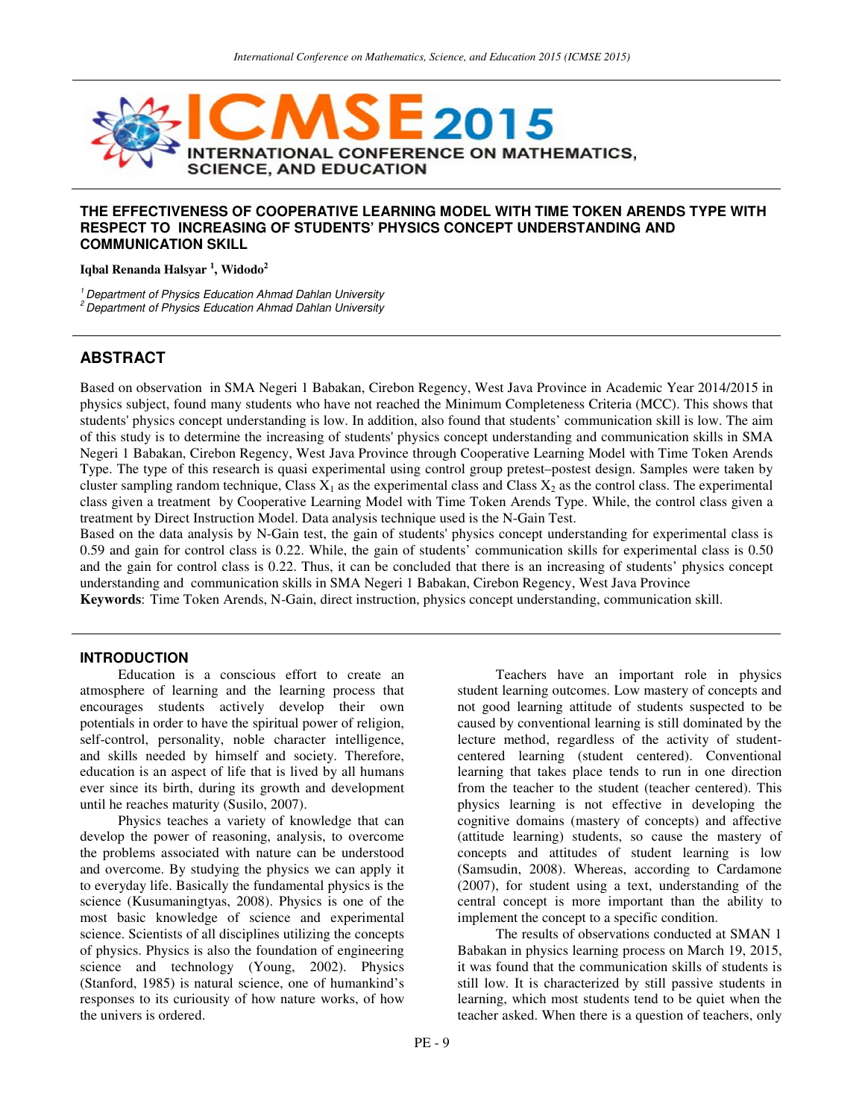

## **THE EFFECTIVENESS OF COOPERATIVE LEARNING MODEL WITH TIME TOKEN ARENDS TYPE WITH RESPECT TO INCREASING OF STUDENTS' PHYSICS CONCEPT UNDERSTANDING AND COMMUNICATION SKILL**

**Iqbal Renanda Halsyar <sup>1</sup> , Widodo<sup>2</sup>**

 $1$  Department of Physics Education Ahmad Dahlan University

 $2$  Department of Physics Education Ahmad Dahlan University

# **ABSTRACT**

Based on observation in SMA Negeri 1 Babakan, Cirebon Regency, West Java Province in Academic Year 2014/2015 in physics subject, found many students who have not reached the Minimum Completeness Criteria (MCC). This shows that students' physics concept understanding is low. In addition, also found that students' communication skill is low. The aim of this study is to determine the increasing of students' physics concept understanding and communication skills in SMA Negeri 1 Babakan, Cirebon Regency, West Java Province through Cooperative Learning Model with Time Token Arends Type. The type of this research is quasi experimental using control group pretest–postest design. Samples were taken by cluster sampling random technique, Class  $X_1$  as the experimental class and Class  $X_2$  as the control class. The experimental class given a treatment by Cooperative Learning Model with Time Token Arends Type. While, the control class given a treatment by Direct Instruction Model. Data analysis technique used is the N-Gain Test.

Based on the data analysis by N-Gain test, the gain of students' physics concept understanding for experimental class is 0.59 and gain for control class is 0.22. While, the gain of students' communication skills for experimental class is 0.50 and the gain for control class is 0.22. Thus, it can be concluded that there is an increasing of students' physics concept understanding and communication skills in SMA Negeri 1 Babakan, Cirebon Regency, West Java Province

**Keywords**: Time Token Arends, N-Gain, direct instruction, physics concept understanding, communication skill.

## **INTRODUCTION**

 Education is a conscious effort to create an atmosphere of learning and the learning process that encourages students actively develop their own potentials in order to have the spiritual power of religion, self-control, personality, noble character intelligence, and skills needed by himself and society. Therefore, education is an aspect of life that is lived by all humans ever since its birth, during its growth and development until he reaches maturity (Susilo, 2007).

 Physics teaches a variety of knowledge that can develop the power of reasoning, analysis, to overcome the problems associated with nature can be understood and overcome. By studying the physics we can apply it to everyday life. Basically the fundamental physics is the science (Kusumaningtyas, 2008). Physics is one of the most basic knowledge of science and experimental science. Scientists of all disciplines utilizing the concepts of physics. Physics is also the foundation of engineering science and technology (Young, 2002). Physics (Stanford, 1985) is natural science, one of humankind's responses to its curiousity of how nature works, of how the univers is ordered.

 Teachers have an important role in physics student learning outcomes. Low mastery of concepts and not good learning attitude of students suspected to be caused by conventional learning is still dominated by the lecture method, regardless of the activity of studentcentered learning (student centered). Conventional learning that takes place tends to run in one direction from the teacher to the student (teacher centered). This physics learning is not effective in developing the cognitive domains (mastery of concepts) and affective (attitude learning) students, so cause the mastery of concepts and attitudes of student learning is low (Samsudin, 2008). Whereas, according to Cardamone (2007), for student using a text, understanding of the central concept is more important than the ability to implement the concept to a specific condition.

 The results of observations conducted at SMAN 1 Babakan in physics learning process on March 19, 2015, it was found that the communication skills of students is still low. It is characterized by still passive students in learning, which most students tend to be quiet when the teacher asked. When there is a question of teachers, only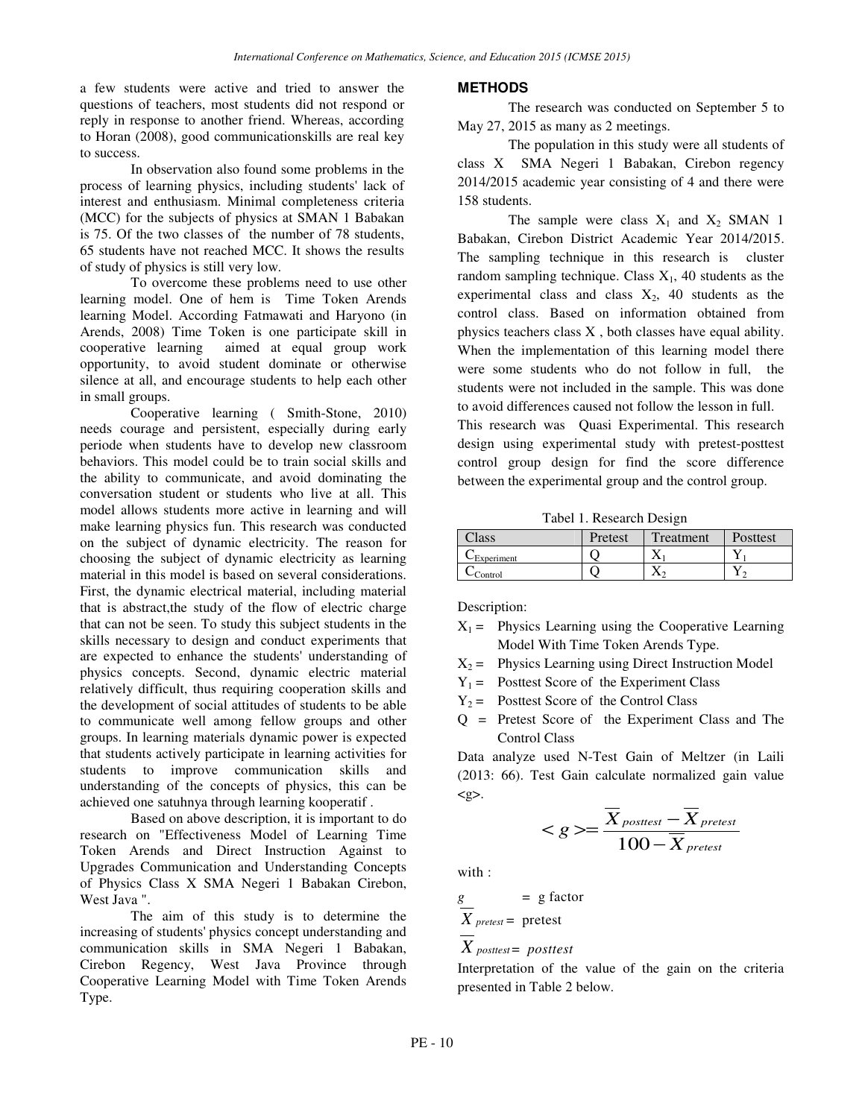a few students were active and tried to answer the questions of teachers, most students did not respond or reply in response to another friend. Whereas, according to Horan (2008), good communicationskills are real key to success.

 In observation also found some problems in the process of learning physics, including students' lack of interest and enthusiasm. Minimal completeness criteria (MCC) for the subjects of physics at SMAN 1 Babakan is 75. Of the two classes of the number of 78 students, 65 students have not reached MCC. It shows the results of study of physics is still very low.

To overcome these problems need to use other learning model. One of hem is Time Token Arends learning Model. According Fatmawati and Haryono (in Arends, 2008) Time Token is one participate skill in cooperative learning aimed at equal group work opportunity, to avoid student dominate or otherwise silence at all, and encourage students to help each other in small groups.

Cooperative learning ( Smith-Stone, 2010) needs courage and persistent, especially during early periode when students have to develop new classroom behaviors. This model could be to train social skills and the ability to communicate, and avoid dominating the conversation student or students who live at all. This model allows students more active in learning and will make learning physics fun. This research was conducted on the subject of dynamic electricity. The reason for choosing the subject of dynamic electricity as learning material in this model is based on several considerations. First, the dynamic electrical material, including material that is abstract,the study of the flow of electric charge that can not be seen. To study this subject students in the skills necessary to design and conduct experiments that are expected to enhance the students' understanding of physics concepts. Second, dynamic electric material relatively difficult, thus requiring cooperation skills and the development of social attitudes of students to be able to communicate well among fellow groups and other groups. In learning materials dynamic power is expected that students actively participate in learning activities for students to improve communication skills and understanding of the concepts of physics, this can be achieved one satuhnya through learning kooperatif .

Based on above description, it is important to do research on "Effectiveness Model of Learning Time Token Arends and Direct Instruction Against to Upgrades Communication and Understanding Concepts of Physics Class X SMA Negeri 1 Babakan Cirebon, West Java ".

The aim of this study is to determine the increasing of students' physics concept understanding and communication skills in SMA Negeri 1 Babakan, Cirebon Regency, West Java Province through Cooperative Learning Model with Time Token Arends Type.

#### **METHODS**

The research was conducted on September 5 to May 27, 2015 as many as 2 meetings.

The population in this study were all students of class X SMA Negeri 1 Babakan, Cirebon regency 2014/2015 academic year consisting of 4 and there were 158 students.

The sample were class  $X_1$  and  $X_2$  SMAN 1 Babakan, Cirebon District Academic Year 2014/2015. The sampling technique in this research is cluster random sampling technique. Class  $X_1$ , 40 students as the experimental class and class  $X_2$ , 40 students as the control class. Based on information obtained from physics teachers class X , both classes have equal ability. When the implementation of this learning model there were some students who do not follow in full, the students were not included in the sample. This was done to avoid differences caused not follow the lesson in full.

This research was Quasi Experimental. This research design using experimental study with pretest-posttest control group design for find the score difference between the experimental group and the control group.

Tabel 1. Research Design

| $\gamma$ ass             | Pretest | Treatment | Posttest |
|--------------------------|---------|-----------|----------|
| $\mathcal{L}$ Experiment |         |           |          |
| Control                  |         |           |          |

Description:

- $X_1 =$  Physics Learning using the Cooperative Learning Model With Time Token Arends Type.
- $X_2$  = Physics Learning using Direct Instruction Model
- $Y_1$  = Posttest Score of the Experiment Class
- $Y_2$  = Posttest Score of the Control Class
- Q = Pretest Score of the Experiment Class and The Control Class

Data analyze used N-Test Gain of Meltzer (in Laili (2013: 66). Test Gain calculate normalized gain value  $<\geq$ .

$$
\langle g \rangle = \frac{\overline{X}_{\textit{posttest}} - \overline{X}_{\textit{pretest}}}{100 - \overline{X}_{\textit{pretest}}}
$$

with :

$$
\frac{g}{X}_{pretest} = \text{pretest}
$$
\n
$$
\overline{X}_{posttest} = \text{posttest}
$$

Interpretation of the value of the gain on the criteria presented in Table 2 below.